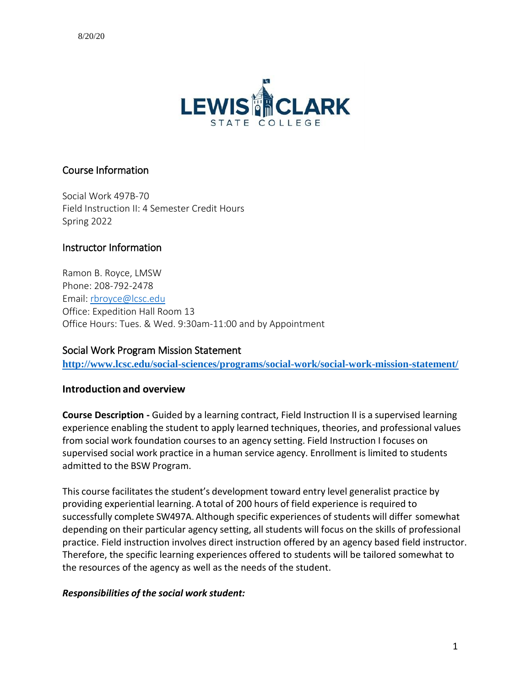

# Course Information

Social Work 497B-70 Field Instruction II: 4 Semester Credit Hours Spring 2022

# Instructor Information

Ramon B. Royce, LMSW Phone: 208-792-2478 Email: [rbroyce@lcsc.edu](mailto:rbroyce@lcsc.edu) Office: Expedition Hall Room 13 Office Hours: Tues. & Wed. 9:30am-11:00 and by Appointment

# Social Work Program Mission Statement

**<http://www.lcsc.edu/social-sciences/programs/social-work/social-work-mission-statement/>**

#### **Introduction and overview**

**Course Description -** Guided by a learning contract, Field Instruction II is a supervised learning experience enabling the student to apply learned techniques, theories, and professional values from social work foundation courses to an agency setting. Field Instruction I focuses on supervised social work practice in a human service agency. Enrollment is limited to students admitted to the BSW Program.

This course facilitates the student's development toward entry level generalist practice by providing experiential learning. A total of 200 hours of field experience is required to successfully complete SW497A. Although specific experiences of students will differ somewhat depending on their particular agency setting, all students will focus on the skills of professional practice. Field instruction involves direct instruction offered by an agency based field instructor. Therefore, the specific learning experiences offered to students will be tailored somewhat to the resources of the agency as well as the needs of the student.

#### *Responsibilities of the social work student:*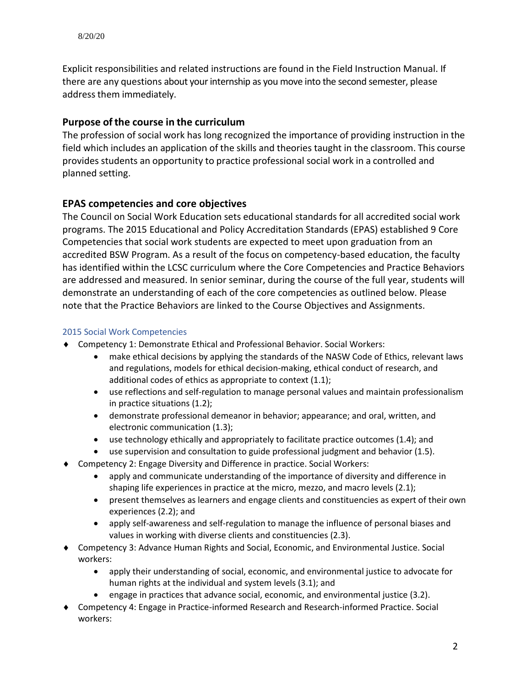Explicit responsibilities and related instructions are found in the Field Instruction Manual. If there are any questions about your internship as you move into the second semester, please address them immediately.

# **Purpose ofthe course in the curriculum**

The profession of social work has long recognized the importance of providing instruction in the field which includes an application of the skills and theories taught in the classroom. This course provides students an opportunity to practice professional social work in a controlled and planned setting.

# **EPAS competencies and core objectives**

 The Council on Social Work Education sets educational standards for all accredited social work programs. The 2015 Educational and Policy Accreditation Standards (EPAS) established 9 Core Competencies that social work students are expected to meet upon graduation from an accredited BSW Program. As a result of the focus on competency-based education, the faculty has identified within the LCSC curriculum where the Core Competencies and Practice Behaviors are addressed and measured. In senior seminar, during the course of the full year, students will demonstrate an understanding of each of the core competencies as outlined below. Please note that the Practice Behaviors are linked to the Course Objectives and Assignments.

### 2015 Social Work Competencies

- Competency 1: Demonstrate Ethical and Professional Behavior. Social Workers:
	- make ethical decisions by applying the standards of the NASW Code of Ethics, relevant laws and regulations, models for ethical decision-making, ethical conduct of research, and additional codes of ethics as appropriate to context (1.1);
	- use reflections and self-regulation to manage personal values and maintain professionalism in practice situations (1.2);
	- demonstrate professional demeanor in behavior; appearance; and oral, written, and electronic communication (1.3);
	- use technology ethically and appropriately to facilitate practice outcomes (1.4); and
	- use supervision and consultation to guide professional judgment and behavior (1.5).
- Competency 2: Engage Diversity and Difference in practice. Social Workers:
	- apply and communicate understanding of the importance of diversity and difference in shaping life experiences in practice at the micro, mezzo, and macro levels (2.1);
	- present themselves as learners and engage clients and constituencies as expert of their own experiences (2.2); and
	- apply self-awareness and self-regulation to manage the influence of personal biases and values in working with diverse clients and constituencies (2.3).
- Competency 3: Advance Human Rights and Social, Economic, and Environmental Justice. Social workers:
	- apply their understanding of social, economic, and environmental justice to advocate for human rights at the individual and system levels (3.1); and
	- engage in practices that advance social, economic, and environmental justice (3.2).
- Competency 4: Engage in Practice-informed Research and Research-informed Practice. Social workers: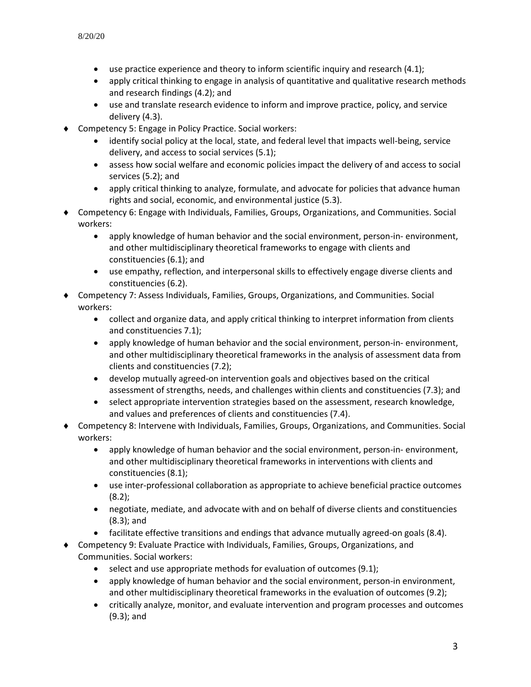- use practice experience and theory to inform scientific inquiry and research (4.1);
- apply critical thinking to engage in analysis of quantitative and qualitative research methods and research findings (4.2); and
- use and translate research evidence to inform and improve practice, policy, and service delivery (4.3).
- Competency 5: Engage in Policy Practice. Social workers:
	- identify social policy at the local, state, and federal level that impacts well-being, service delivery, and access to social services (5.1);
	- assess how social welfare and economic policies impact the delivery of and access to social services (5.2); and
	- apply critical thinking to analyze, formulate, and advocate for policies that advance human rights and social, economic, and environmental justice (5.3).
- Competency 6: Engage with Individuals, Families, Groups, Organizations, and Communities. Social workers:
	- apply knowledge of human behavior and the social environment, person-in- environment, and other multidisciplinary theoretical frameworks to engage with clients and constituencies (6.1); and
	- use empathy, reflection, and interpersonal skills to effectively engage diverse clients and constituencies (6.2).
- Competency 7: Assess Individuals, Families, Groups, Organizations, and Communities. Social workers:
	- collect and organize data, and apply critical thinking to interpret information from clients and constituencies 7.1);
	- apply knowledge of human behavior and the social environment, person-in- environment, and other multidisciplinary theoretical frameworks in the analysis of assessment data from clients and constituencies (7.2);
	- develop mutually agreed-on intervention goals and objectives based on the critical assessment of strengths, needs, and challenges within clients and constituencies (7.3); and
	- select appropriate intervention strategies based on the assessment, research knowledge, and values and preferences of clients and constituencies (7.4).
- Competency 8: Intervene with Individuals, Families, Groups, Organizations, and Communities. Social workers:
	- apply knowledge of human behavior and the social environment, person-in- environment, and other multidisciplinary theoretical frameworks in interventions with clients and constituencies (8.1);
	- use inter-professional collaboration as appropriate to achieve beneficial practice outcomes  $(8.2)$ ;
	- negotiate, mediate, and advocate with and on behalf of diverse clients and constituencies (8.3); and
	- facilitate effective transitions and endings that advance mutually agreed-on goals (8.4).
- Competency 9: Evaluate Practice with Individuals, Families, Groups, Organizations, and Communities. Social workers:
	- select and use appropriate methods for evaluation of outcomes (9.1);
	- apply knowledge of human behavior and the social environment, person-in environment, and other multidisciplinary theoretical frameworks in the evaluation of outcomes (9.2);
	- critically analyze, monitor, and evaluate intervention and program processes and outcomes (9.3); and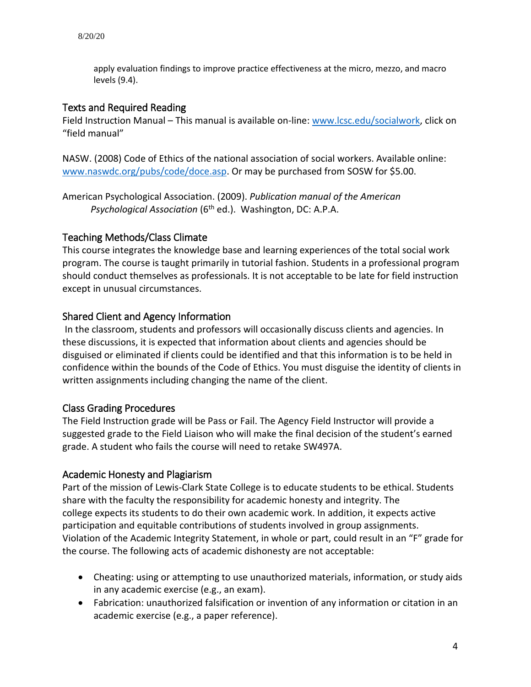apply evaluation findings to improve practice effectiveness at the micro, mezzo, and macro levels (9.4).

### Texts and Required Reading

Field Instruction Manual – This manual is available on-line: [www.lcsc.edu/socialwork,](http://www.lcsc.edu/socialwork) click on "field manual"

NASW. (2008) Code of Ethics of the national association of social workers. Available online: [www.naswdc.org/pubs/code/doce.asp.](http://www.naswdc.org/pubs/code/doce.asp) Or may be purchased from SOSW for \$5.00.

American Psychological Association. (2009). *Publication manual of the American Psychological Association* (6<sup>th</sup> ed.). Washington, DC: A.P.A.

# Teaching Methods/Class Climate

This course integrates the knowledge base and learning experiences of the total social work program. The course is taught primarily in tutorial fashion. Students in a professional program should conduct themselves as professionals. It is not acceptable to be late for field instruction except in unusual circumstances.

### Shared Client and Agency Information

In the classroom, students and professors will occasionally discuss clients and agencies. In these discussions, it is expected that information about clients and agencies should be disguised or eliminated if clients could be identified and that this information is to be held in confidence within the bounds of the Code of Ethics. You must disguise the identity of clients in written assignments including changing the name of the client.

# Class Grading Procedures

The Field Instruction grade will be Pass or Fail. The Agency Field Instructor will provide a suggested grade to the Field Liaison who will make the final decision of the student's earned grade. A student who fails the course will need to retake SW497A.

#### Academic Honesty and Plagiarism

Part of the mission of Lewis-Clark State College is to educate students to be ethical. Students share with the faculty the responsibility for academic honesty and integrity. The college expects its students to do their own academic work. In addition, it expects active participation and equitable contributions of students involved in group assignments. Violation of the Academic Integrity Statement, in whole or part, could result in an "F" grade for the course. The following acts of academic dishonesty are not acceptable:

- Cheating: using or attempting to use unauthorized materials, information, or study aids in any academic exercise (e.g., an exam).
- Fabrication: unauthorized falsification or invention of any information or citation in an academic exercise (e.g., a paper reference).